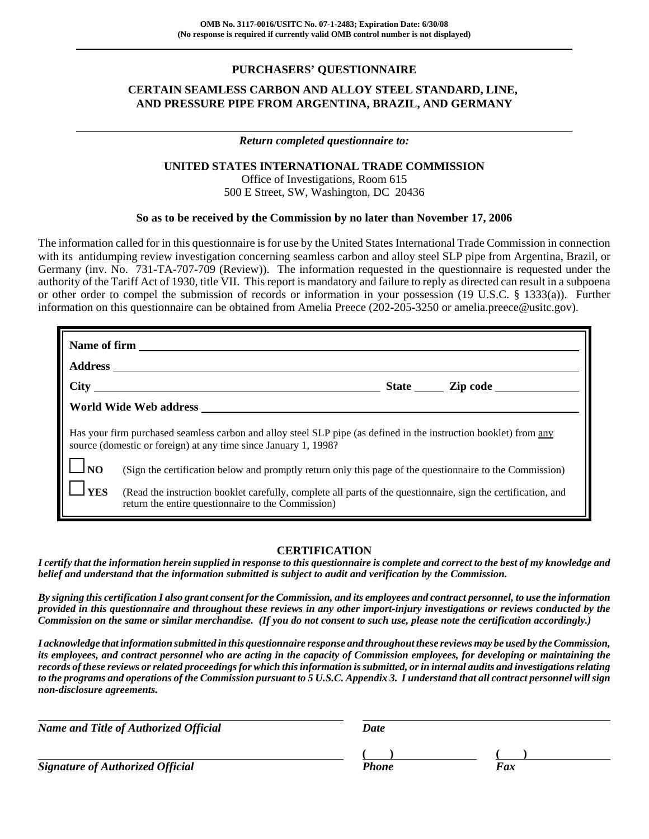## **PURCHASERS' QUESTIONNAIRE**

## **CERTAIN SEAMLESS CARBON AND ALLOY STEEL STANDARD, LINE, AND PRESSURE PIPE FROM ARGENTINA, BRAZIL, AND GERMANY**

## *Return completed questionnaire to:*

#### **UNITED STATES INTERNATIONAL TRADE COMMISSION**

Office of Investigations, Room 615 500 E Street, SW, Washington, DC 20436

#### **So as to be received by the Commission by no later than November 17, 2006**

The information called for in this questionnaire is for use by the United States International Trade Commission in connection with its antidumping review investigation concerning seamless carbon and alloy steel SLP pipe from Argentina, Brazil, or Germany (inv. No. 731-TA-707-709 (Review)). The information requested in the questionnaire is requested under the authority of the Tariff Act of 1930, title VII. This report is mandatory and failure to reply as directed can result in a subpoena or other order to compel the submission of records or information in your possession (19 U.S.C. § 1333(a)). Further information on this questionnaire can be obtained from Amelia Preece (202-205-3250 or amelia.preece@usitc.gov).

| <b>Address</b>                    |                                                                                                                                                                                                                                                                                                                                                                                                                                                                         |  |
|-----------------------------------|-------------------------------------------------------------------------------------------------------------------------------------------------------------------------------------------------------------------------------------------------------------------------------------------------------------------------------------------------------------------------------------------------------------------------------------------------------------------------|--|
|                                   | $\text{City}$<br>State <u>Zip</u> code                                                                                                                                                                                                                                                                                                                                                                                                                                  |  |
|                                   |                                                                                                                                                                                                                                                                                                                                                                                                                                                                         |  |
| $\Box$ NO<br>$\mathbf{\perp}$ YES | Has your firm purchased seamless carbon and alloy steel SLP pipe (as defined in the instruction booklet) from any<br>source (domestic or foreign) at any time since January 1, 1998?<br>(Sign the certification below and promptly return only this page of the questionnaire to the Commission)<br>(Read the instruction booklet carefully, complete all parts of the questionnaire, sign the certification, and<br>return the entire questionnaire to the Commission) |  |

### **CERTIFICATION**

*I certify that the information herein supplied in response to this questionnaire is complete and correct to the best of my knowledge and belief and understand that the information submitted is subject to audit and verification by the Commission.*

*By signing this certification I also grant consent for the Commission, and its employees and contract personnel, to use the information provided in this questionnaire and throughout these reviews in any other import-injury investigations or reviews conducted by the Commission on the same or similar merchandise. (If you do not consent to such use, please note the certification accordingly.)*

*I acknowledge that information submitted in this questionnaire response and throughout these reviews may be used by the Commission, its employees, and contract personnel who are acting in the capacity of Commission employees, for developing or maintaining the records of these reviews or related proceedings for which this information is submitted, or in internal audits and investigations relating to the programs and operations of the Commission pursuant to 5 U.S.C. Appendix 3. I understand that all contract personnel will sign non-disclosure agreements.*

| <b>Name and Title of Authorized Official</b> | Date  |     |
|----------------------------------------------|-------|-----|
|                                              |       |     |
| <b>Signature of Authorized Official</b>      | Phone | Fax |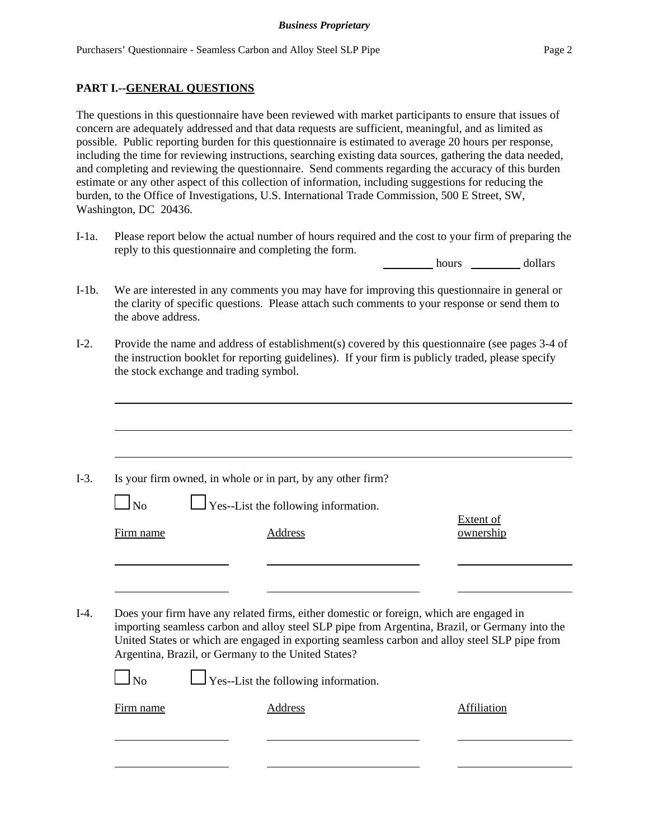### **PART I.--GENERAL QUESTIONS**

The questions in this questionnaire have been reviewed with market participants to ensure that issues of concern are adequately addressed and that data requests are sufficient, meaningful, and as limited as possible. Public reporting burden for this questionnaire is estimated to average 20 hours per response, including the time for reviewing instructions, searching existing data sources, gathering the data needed, and completing and reviewing the questionnaire. Send comments regarding the accuracy of this burden estimate or any other aspect of this collection of information, including suggestions for reducing the burden, to the Office of Investigations, U.S. International Trade Commission, 500 E Street, SW, Washington, DC 20436.

I-1a. Please report below the actual number of hours required and the cost to your firm of preparing the reply to this questionnaire and completing the form.

hours dollars

- I-1b. We are interested in any comments you may have for improving this questionnaire in general or the clarity of specific questions. Please attach such comments to your response or send them to the above address.
- I-2. Provide the name and address of establishment(s) covered by this questionnaire (see pages 3-4 of the instruction booklet for reporting guidelines). If your firm is publicly traded, please specify the stock exchange and trading symbol.

| $\Box$ No      | Is your firm owned, in whole or in part, by any other firm?<br>$\Box$ Yes--List the following information.                                                                                                                                                                                                                                                                                       |                               |
|----------------|--------------------------------------------------------------------------------------------------------------------------------------------------------------------------------------------------------------------------------------------------------------------------------------------------------------------------------------------------------------------------------------------------|-------------------------------|
| Firm name      | Address                                                                                                                                                                                                                                                                                                                                                                                          | <b>Extent of</b><br>ownership |
|                |                                                                                                                                                                                                                                                                                                                                                                                                  |                               |
| N <sub>0</sub> | Does your firm have any related firms, either domestic or foreign, which are engaged in<br>importing seamless carbon and alloy steel SLP pipe from Argentina, Brazil, or Germany into the<br>United States or which are engaged in exporting seamless carbon and alloy steel SLP pipe from<br>Argentina, Brazil, or Germany to the United States?<br>$\Box$ Yes--List the following information. |                               |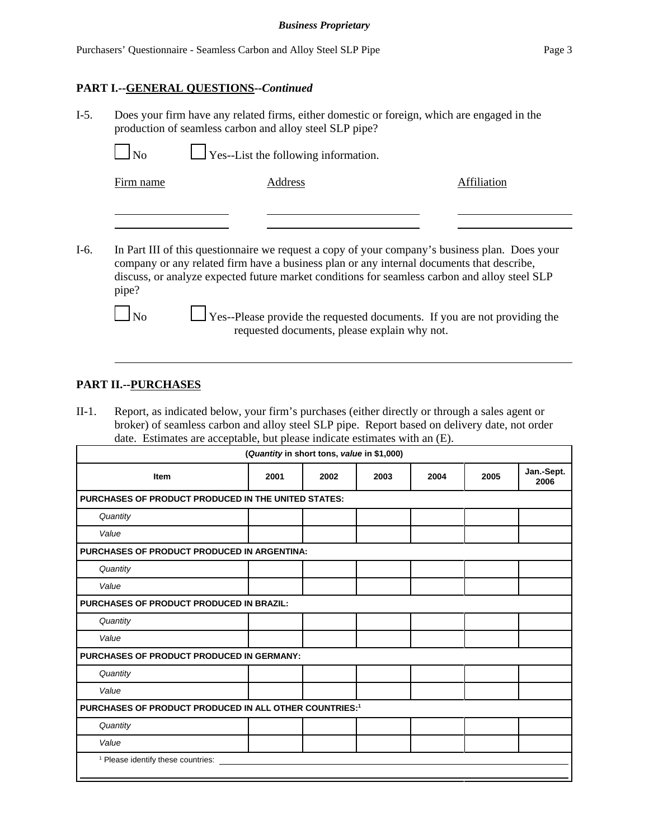#### **PART I.--GENERAL QUESTIONS--***Continued*

I-5. Does your firm have any related firms, either domestic or foreign, which are engaged in the production of seamless carbon and alloy steel SLP pipe?

 $\Box$  No  $\Box$  Yes--List the following information.

Firm name Address Address Affiliation

I-6. In Part III of this questionnaire we request a copy of your company's business plan. Does your company or any related firm have a business plan or any internal documents that describe, discuss, or analyze expected future market conditions for seamless carbon and alloy steel SLP pipe?

 $\Box$  No  $\Box$  Yes--Please provide the requested documents. If you are not providing the requested documents, please explain why not.

### **PART II.--PURCHASES**

II-1. Report, as indicated below, your firm's purchases (either directly or through a sales agent or broker) of seamless carbon and alloy steel SLP pipe. Report based on delivery date, not order date. Estimates are acceptable, but please indicate estimates with an (E).

| (Quantity in short tons, value in \$1,000)                         |      |      |      |      |      |                    |
|--------------------------------------------------------------------|------|------|------|------|------|--------------------|
| <b>Item</b>                                                        | 2001 | 2002 | 2003 | 2004 | 2005 | Jan.-Sept.<br>2006 |
| <b>PURCHASES OF PRODUCT PRODUCED IN THE UNITED STATES:</b>         |      |      |      |      |      |                    |
| Quantity                                                           |      |      |      |      |      |                    |
| Value                                                              |      |      |      |      |      |                    |
| PURCHASES OF PRODUCT PRODUCED IN ARGENTINA:                        |      |      |      |      |      |                    |
| Quantity                                                           |      |      |      |      |      |                    |
| Value                                                              |      |      |      |      |      |                    |
| PURCHASES OF PRODUCT PRODUCED IN BRAZIL:                           |      |      |      |      |      |                    |
| Quantity                                                           |      |      |      |      |      |                    |
| Value                                                              |      |      |      |      |      |                    |
| <b>PURCHASES OF PRODUCT PRODUCED IN GERMANY:</b>                   |      |      |      |      |      |                    |
| Quantity                                                           |      |      |      |      |      |                    |
| Value                                                              |      |      |      |      |      |                    |
| PURCHASES OF PRODUCT PRODUCED IN ALL OTHER COUNTRIES: <sup>1</sup> |      |      |      |      |      |                    |
| Quantity                                                           |      |      |      |      |      |                    |
| Value                                                              |      |      |      |      |      |                    |
| <sup>1</sup> Please identify these countries:                      |      |      |      |      |      |                    |
|                                                                    |      |      |      |      |      |                    |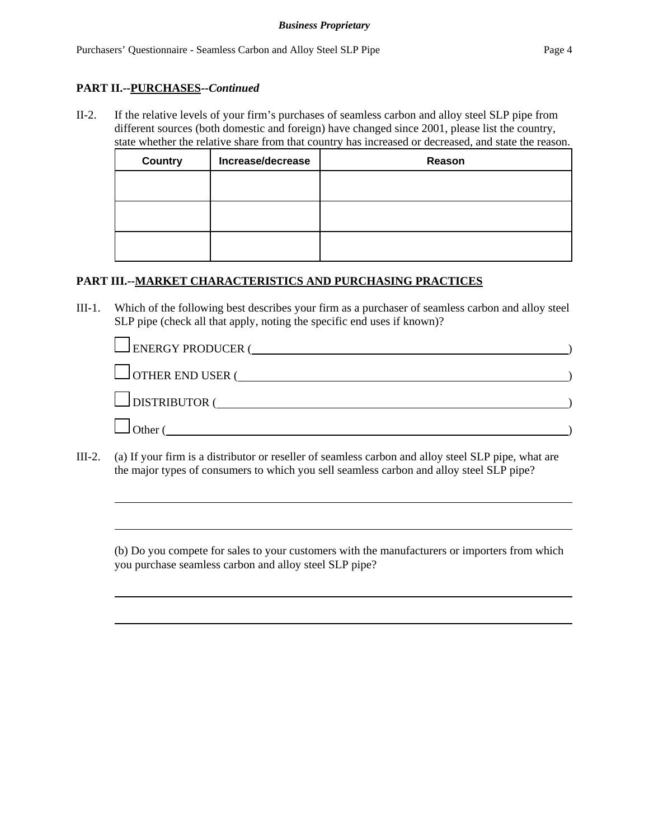#### **PART II.--PURCHASES--***Continued*

II-2. If the relative levels of your firm's purchases of seamless carbon and alloy steel SLP pipe from different sources (both domestic and foreign) have changed since 2001, please list the country, state whether the relative share from that country has increased or decreased, and state the reason.

| <b>Country</b> | Increase/decrease | Reason |
|----------------|-------------------|--------|
|                |                   |        |
|                |                   |        |
|                |                   |        |
|                |                   |        |
|                |                   |        |
|                |                   |        |

#### **PART III.--MARKET CHARACTERISTICS AND PURCHASING PRACTICES**

III-1. Which of the following best describes your firm as a purchaser of seamless carbon and alloy steel SLP pipe (check all that apply, noting the specific end uses if known)?

| $\Box$ ENERGY PRODUCER ( |  |
|--------------------------|--|
| $\Box$ OTHER END USER (  |  |
| $\Box$ DISTRIBUTOR (     |  |
| $\Box$ Other $\prime$    |  |

III-2. (a) If your firm is a distributor or reseller of seamless carbon and alloy steel SLP pipe, what are the major types of consumers to which you sell seamless carbon and alloy steel SLP pipe?

(b) Do you compete for sales to your customers with the manufacturers or importers from which you purchase seamless carbon and alloy steel SLP pipe?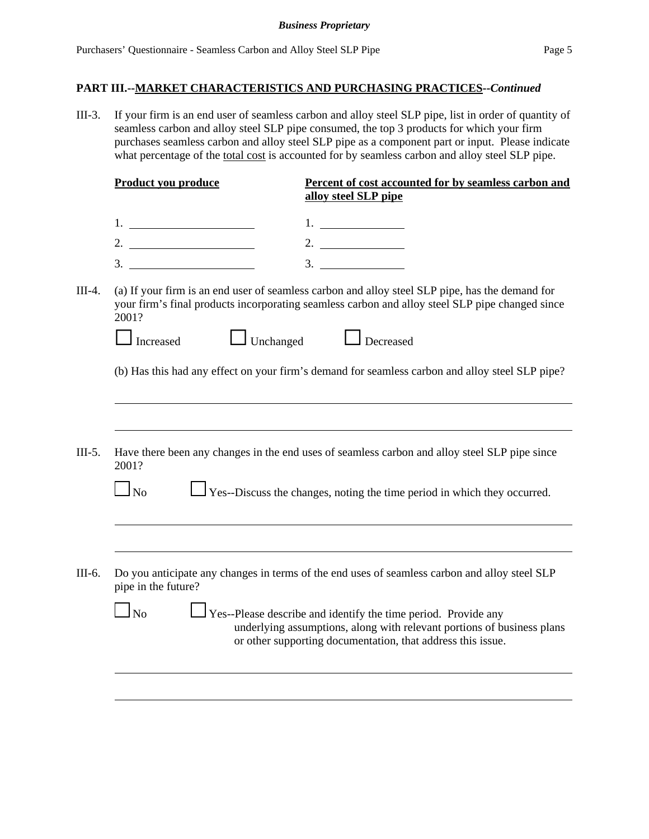III-3. If your firm is an end user of seamless carbon and alloy steel SLP pipe, list in order of quantity of seamless carbon and alloy steel SLP pipe consumed, the top 3 products for which your firm purchases seamless carbon and alloy steel SLP pipe as a component part or input. Please indicate what percentage of the total cost is accounted for by seamless carbon and alloy steel SLP pipe.

|          | <b>Product you produce</b> | Percent of cost accounted for by seamless carbon and<br>alloy steel SLP pipe                                                                                                                            |
|----------|----------------------------|---------------------------------------------------------------------------------------------------------------------------------------------------------------------------------------------------------|
|          |                            | 1.                                                                                                                                                                                                      |
|          | 2. $\qquad \qquad$         | 2. $\qquad \qquad$                                                                                                                                                                                      |
|          | 3.                         | 3.                                                                                                                                                                                                      |
| $III-4.$ | 2001?                      | (a) If your firm is an end user of seamless carbon and alloy steel SLP pipe, has the demand for<br>your firm's final products incorporating seamless carbon and alloy steel SLP pipe changed since      |
|          | Increased                  | J Unchanged <u>L</u> Decreased                                                                                                                                                                          |
|          |                            | (b) Has this had any effect on your firm's demand for seamless carbon and alloy steel SLP pipe?                                                                                                         |
|          |                            |                                                                                                                                                                                                         |
| $III-5.$ | 2001?                      | Have there been any changes in the end uses of seamless carbon and alloy steel SLP pipe since                                                                                                           |
|          | $\Box$ No                  | $\Box$ Yes--Discuss the changes, noting the time period in which they occurred.                                                                                                                         |
|          |                            |                                                                                                                                                                                                         |
| III-6.   | pipe in the future?        | Do you anticipate any changes in terms of the end uses of seamless carbon and alloy steel SLP                                                                                                           |
|          | $\ln$                      | Yes--Please describe and identify the time period. Provide any<br>underlying assumptions, along with relevant portions of business plans<br>or other supporting documentation, that address this issue. |
|          |                            |                                                                                                                                                                                                         |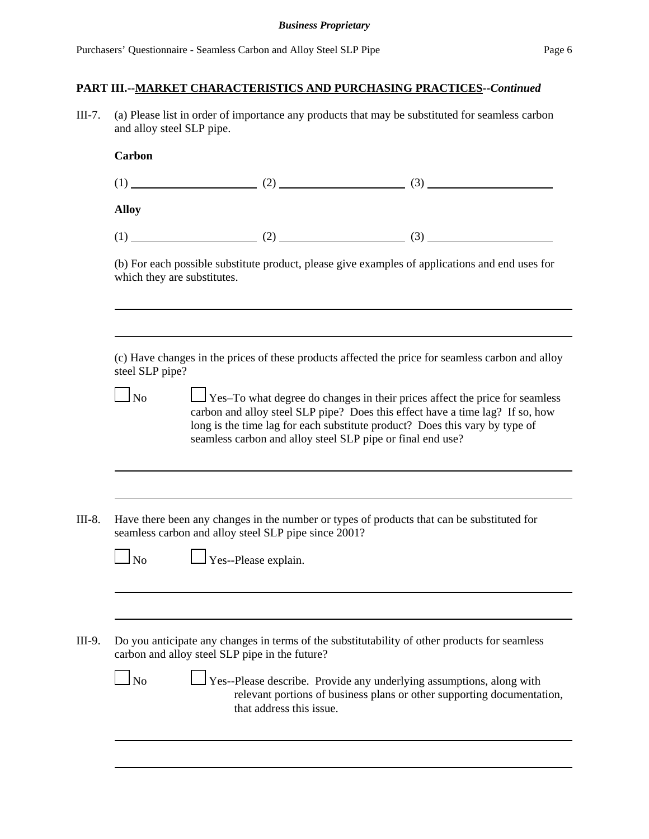III-7. (a) Please list in order of importance any products that may be substituted for seamless carbon and alloy steel SLP pipe.

|                             |                                                            | $(1)$ (1) (2) (2) (3)                                                                                                                                                                                                                              |  |
|-----------------------------|------------------------------------------------------------|----------------------------------------------------------------------------------------------------------------------------------------------------------------------------------------------------------------------------------------------------|--|
| <b>Alloy</b>                |                                                            |                                                                                                                                                                                                                                                    |  |
|                             |                                                            |                                                                                                                                                                                                                                                    |  |
| which they are substitutes. |                                                            | (b) For each possible substitute product, please give examples of applications and end uses for                                                                                                                                                    |  |
| steel SLP pipe?             |                                                            | (c) Have changes in the prices of these products affected the price for seamless carbon and alloy                                                                                                                                                  |  |
| $\Box$ No                   | seamless carbon and alloy steel SLP pipe or final end use? | $\Box$ Yes–To what degree do changes in their prices affect the price for seamless<br>carbon and alloy steel SLP pipe? Does this effect have a time lag? If so, how<br>long is the time lag for each substitute product? Does this vary by type of |  |
|                             |                                                            |                                                                                                                                                                                                                                                    |  |
|                             | seamless carbon and alloy steel SLP pipe since 2001?       | Have there been any changes in the number or types of products that can be substituted for                                                                                                                                                         |  |
| $\Box$ No                   | $\Box$ Yes--Please explain.                                |                                                                                                                                                                                                                                                    |  |
|                             | carbon and alloy steel SLP pipe in the future?             | Do you anticipate any changes in terms of the substitutability of other products for seamless                                                                                                                                                      |  |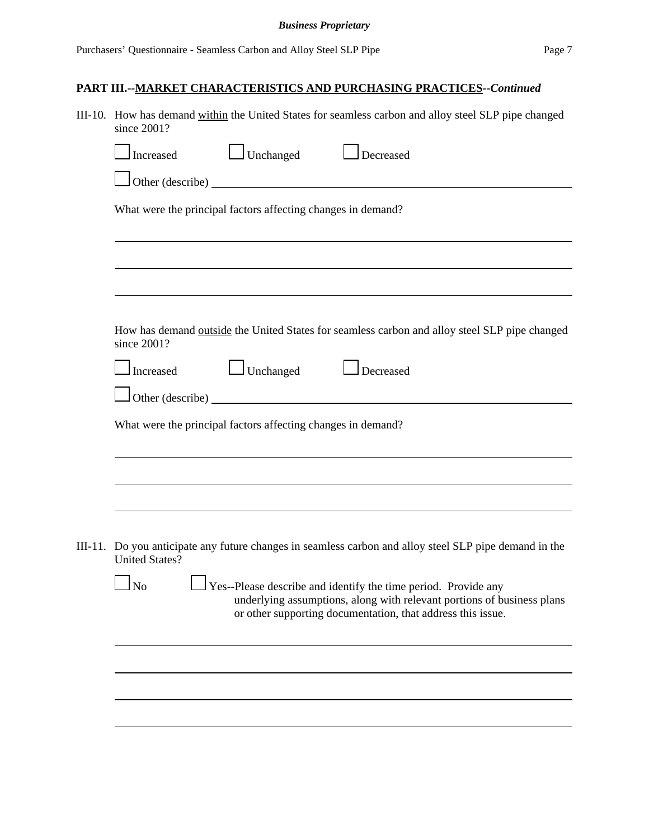| III-10. How has demand within the United States for seamless carbon and alloy steel SLP pipe changed<br>since 2001?                                                                                                         |
|-----------------------------------------------------------------------------------------------------------------------------------------------------------------------------------------------------------------------------|
| $\Box$ Unchanged<br>$\Box$ Decreased<br>Increased                                                                                                                                                                           |
| $\Box$ Other (describe) $\Box$                                                                                                                                                                                              |
| What were the principal factors affecting changes in demand?                                                                                                                                                                |
|                                                                                                                                                                                                                             |
| How has demand outside the United States for seamless carbon and alloy steel SLP pipe changed<br>since 2001?                                                                                                                |
| $\Box$ Unchanged<br>$\Box$ Decreased<br>Increased                                                                                                                                                                           |
| What were the principal factors affecting changes in demand?                                                                                                                                                                |
|                                                                                                                                                                                                                             |
|                                                                                                                                                                                                                             |
| III-11. Do you anticipate any future changes in seamless carbon and alloy steel SLP pipe demand in the<br><b>United States?</b>                                                                                             |
| $\Box$ Yes--Please describe and identify the time period. Provide any<br>$\Box$ No<br>underlying assumptions, along with relevant portions of business plans<br>or other supporting documentation, that address this issue. |
|                                                                                                                                                                                                                             |
|                                                                                                                                                                                                                             |
|                                                                                                                                                                                                                             |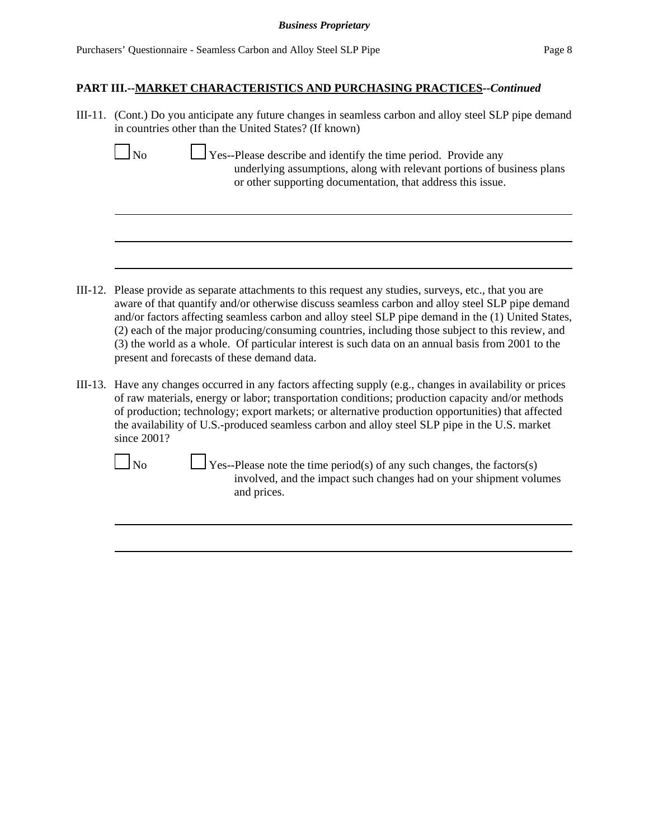| III-11. (Cont.) Do you anticipate any future changes in seamless carbon and alloy steel SLP pipe demand<br>in countries other than the United States? (If known)                                                                                                                                                                                                                                                                                                                                                                                                         |
|--------------------------------------------------------------------------------------------------------------------------------------------------------------------------------------------------------------------------------------------------------------------------------------------------------------------------------------------------------------------------------------------------------------------------------------------------------------------------------------------------------------------------------------------------------------------------|
| $\ln$<br>Yes--Please describe and identify the time period. Provide any<br>underlying assumptions, along with relevant portions of business plans<br>or other supporting documentation, that address this issue.                                                                                                                                                                                                                                                                                                                                                         |
|                                                                                                                                                                                                                                                                                                                                                                                                                                                                                                                                                                          |
| III-12. Please provide as separate attachments to this request any studies, surveys, etc., that you are<br>aware of that quantify and/or otherwise discuss seamless carbon and alloy steel SLP pipe demand<br>and/or factors affecting seamless carbon and alloy steel SLP pipe demand in the (1) United States,<br>(2) each of the major producing/consuming countries, including those subject to this review, and<br>(3) the world as a whole. Of particular interest is such data on an annual basis from 2001 to the<br>present and forecasts of these demand data. |
| III-13. Have any changes occurred in any factors affecting supply (e.g., changes in availability or prices<br>of raw materials, energy or labor; transportation conditions; production capacity and/or methods<br>of production; technology; export markets; or alternative production opportunities) that affected<br>the availability of U.S.-produced seamless carbon and alloy steel SLP pipe in the U.S. market<br>since 2001?                                                                                                                                      |
| No<br>$\sqrt{\text{Yes-Please}}$ note the time period(s) of any such changes, the factors(s)<br>involved, and the impact such changes had on your shipment volumes<br>and prices.                                                                                                                                                                                                                                                                                                                                                                                        |
|                                                                                                                                                                                                                                                                                                                                                                                                                                                                                                                                                                          |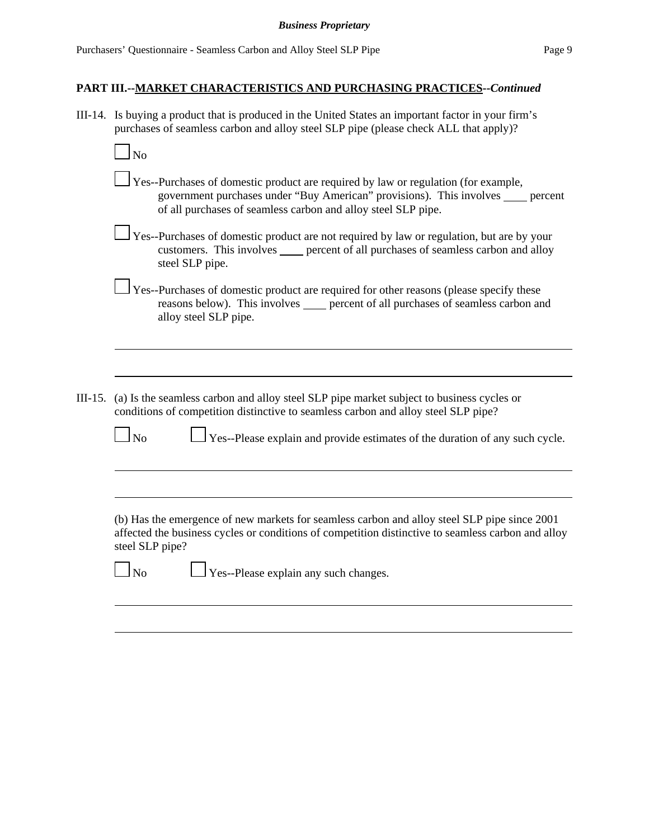III-14. Is buying a product that is produced in the United States an important factor in your firm's purchases of seamless carbon and alloy steel SLP pipe (please check ALL that apply)?

|         | $\overline{\rm No}$                                                                                                                                                                                                                                                     |
|---------|-------------------------------------------------------------------------------------------------------------------------------------------------------------------------------------------------------------------------------------------------------------------------|
|         | Yes--Purchases of domestic product are required by law or regulation (for example,<br>government purchases under "Buy American" provisions). This involves _____ percent<br>of all purchases of seamless carbon and alloy steel SLP pipe.                               |
|         | Yes--Purchases of domestic product are not required by law or regulation, but are by your<br>customers. This involves _____ percent of all purchases of seamless carbon and alloy<br>steel SLP pipe.                                                                    |
|         | Yes--Purchases of domestic product are required for other reasons (please specify these<br>reasons below). This involves _____ percent of all purchases of seamless carbon and<br>alloy steel SLP pipe.                                                                 |
|         |                                                                                                                                                                                                                                                                         |
| III-15. | (a) Is the seamless carbon and alloy steel SLP pipe market subject to business cycles or<br>conditions of competition distinctive to seamless carbon and alloy steel SLP pipe?<br>Yes--Please explain and provide estimates of the duration of any such cycle.<br>$\ln$ |
|         |                                                                                                                                                                                                                                                                         |
|         | (b) Has the emergence of new markets for seamless carbon and alloy steel SLP pipe since 2001<br>affected the business cycles or conditions of competition distinctive to seamless carbon and alloy<br>steel SLP pipe?                                                   |
|         | $\Box$ Yes--Please explain any such changes.<br>$\overline{N_0}$                                                                                                                                                                                                        |
|         |                                                                                                                                                                                                                                                                         |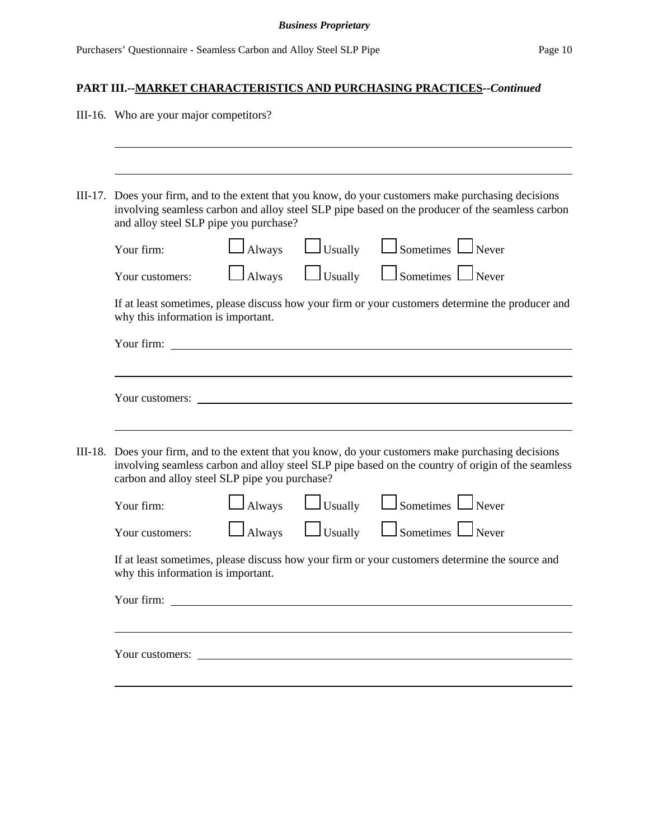| III-16. Who are your major competitors?                                                                                                                                                                                                                    |  |  |  |
|------------------------------------------------------------------------------------------------------------------------------------------------------------------------------------------------------------------------------------------------------------|--|--|--|
|                                                                                                                                                                                                                                                            |  |  |  |
| III-17. Does your firm, and to the extent that you know, do your customers make purchasing decisions<br>involving seamless carbon and alloy steel SLP pipe based on the producer of the seamless carbon<br>and alloy steel SLP pipe you purchase?          |  |  |  |
| $\Box$ Sometimes $\Box$ Never<br>$\Box$ Usually<br>$\Box$ Always<br>Your firm:                                                                                                                                                                             |  |  |  |
| Usually <u>L</u> Sometimes Never<br>Always<br>Your customers:                                                                                                                                                                                              |  |  |  |
| If at least sometimes, please discuss how your firm or your customers determine the producer and<br>why this information is important.                                                                                                                     |  |  |  |
| Your firm:                                                                                                                                                                                                                                                 |  |  |  |
|                                                                                                                                                                                                                                                            |  |  |  |
| Your customers:                                                                                                                                                                                                                                            |  |  |  |
|                                                                                                                                                                                                                                                            |  |  |  |
| III-18. Does your firm, and to the extent that you know, do your customers make purchasing decisions<br>involving seamless carbon and alloy steel SLP pipe based on the country of origin of the seamless<br>carbon and alloy steel SLP pipe you purchase? |  |  |  |
| Sometimes Never<br>Usually<br>Always<br>Your firm:                                                                                                                                                                                                         |  |  |  |
| $\Box$ Sometimes $\Box$ Never<br>$\Box$ Usually<br><b>Always</b><br>Your customers:                                                                                                                                                                        |  |  |  |
| If at least sometimes, please discuss how your firm or your customers determine the source and<br>why this information is important.                                                                                                                       |  |  |  |
| Your firm:                                                                                                                                                                                                                                                 |  |  |  |
|                                                                                                                                                                                                                                                            |  |  |  |
|                                                                                                                                                                                                                                                            |  |  |  |
|                                                                                                                                                                                                                                                            |  |  |  |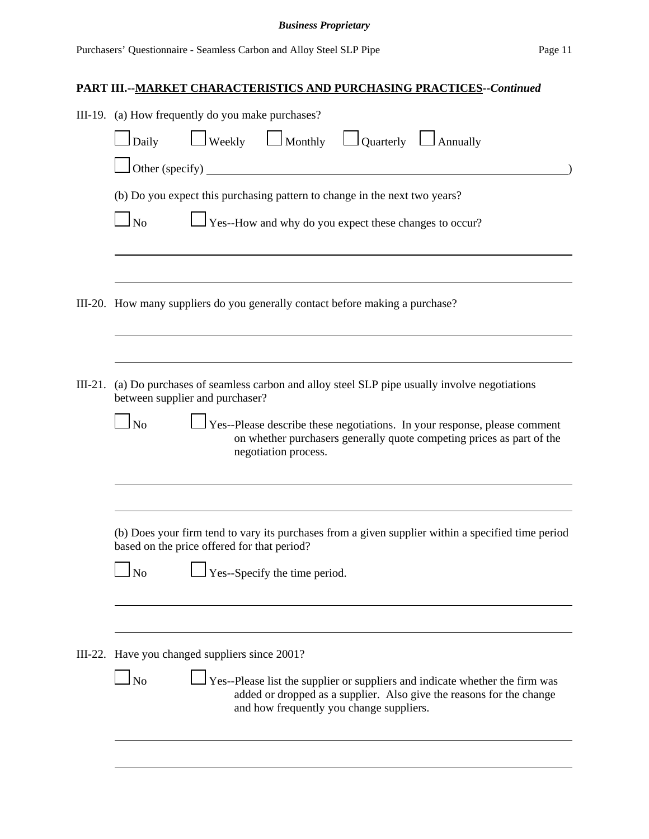|                                                                                                                                                                                                                                                                                                                                 | III-19. (a) How frequently do you make purchases?                                                                                                                                                             |  |  |  |  |  |  |
|---------------------------------------------------------------------------------------------------------------------------------------------------------------------------------------------------------------------------------------------------------------------------------------------------------------------------------|---------------------------------------------------------------------------------------------------------------------------------------------------------------------------------------------------------------|--|--|--|--|--|--|
|                                                                                                                                                                                                                                                                                                                                 | $\Box$ Weekly $\Box$ Monthly $\Box$ Quarterly $\Box$ Annually<br>$1$ Daily                                                                                                                                    |  |  |  |  |  |  |
|                                                                                                                                                                                                                                                                                                                                 | $\Box$ Other (specify)                                                                                                                                                                                        |  |  |  |  |  |  |
|                                                                                                                                                                                                                                                                                                                                 | (b) Do you expect this purchasing pattern to change in the next two years?                                                                                                                                    |  |  |  |  |  |  |
|                                                                                                                                                                                                                                                                                                                                 | $\Box$ No<br>Yes--How and why do you expect these changes to occur?                                                                                                                                           |  |  |  |  |  |  |
|                                                                                                                                                                                                                                                                                                                                 | III-20. How many suppliers do you generally contact before making a purchase?                                                                                                                                 |  |  |  |  |  |  |
| III-21. (a) Do purchases of seamless carbon and alloy steel SLP pipe usually involve negotiations<br>between supplier and purchaser?<br>$\Box$ No<br>Yes--Please describe these negotiations. In your response, please comment<br>on whether purchasers generally quote competing prices as part of the<br>negotiation process. |                                                                                                                                                                                                               |  |  |  |  |  |  |
|                                                                                                                                                                                                                                                                                                                                 | (b) Does your firm tend to vary its purchases from a given supplier within a specified time period<br>based on the price offered for that period?                                                             |  |  |  |  |  |  |
|                                                                                                                                                                                                                                                                                                                                 | Yes--Specify the time period.<br>N <sub>o</sub>                                                                                                                                                               |  |  |  |  |  |  |
|                                                                                                                                                                                                                                                                                                                                 | III-22. Have you changed suppliers since 2001?                                                                                                                                                                |  |  |  |  |  |  |
|                                                                                                                                                                                                                                                                                                                                 | $\Box$ No<br>Yes--Please list the supplier or suppliers and indicate whether the firm was<br>added or dropped as a supplier. Also give the reasons for the change<br>and how frequently you change suppliers. |  |  |  |  |  |  |
|                                                                                                                                                                                                                                                                                                                                 |                                                                                                                                                                                                               |  |  |  |  |  |  |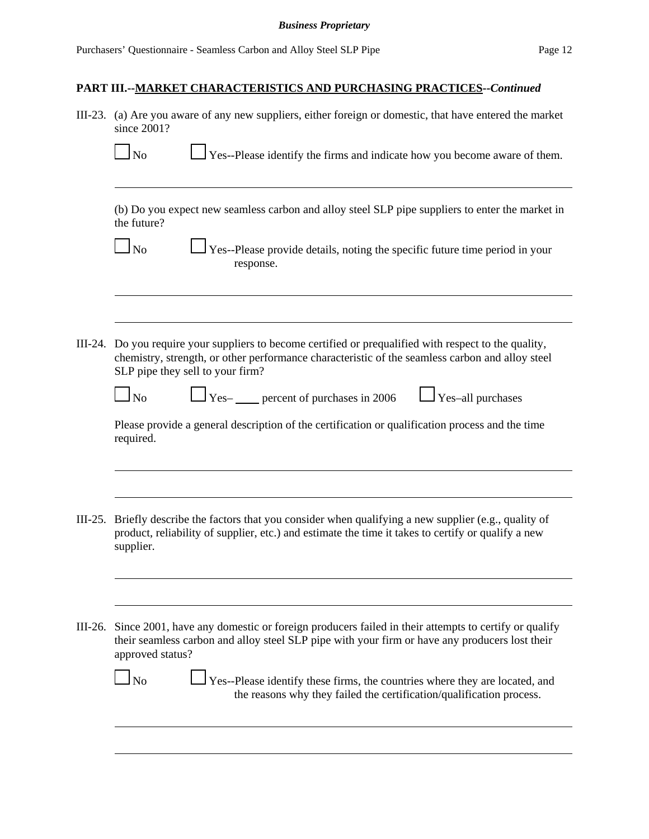|           | III-23. (a) Are you aware of any new suppliers, either foreign or domestic, that have entered the market<br>since 2001?                                                                                                                       |  |  |  |  |  |
|-----------|-----------------------------------------------------------------------------------------------------------------------------------------------------------------------------------------------------------------------------------------------|--|--|--|--|--|
|           | $\perp$ Yes--Please identify the firms and indicate how you become aware of them.<br>$\ln$                                                                                                                                                    |  |  |  |  |  |
|           | (b) Do you expect new seamless carbon and alloy steel SLP pipe suppliers to enter the market in<br>the future?                                                                                                                                |  |  |  |  |  |
|           | $\Box$ Yes--Please provide details, noting the specific future time period in your<br>$\Box$ No<br>response.                                                                                                                                  |  |  |  |  |  |
|           |                                                                                                                                                                                                                                               |  |  |  |  |  |
|           | III-24. Do you require your suppliers to become certified or prequalified with respect to the quality,<br>chemistry, strength, or other performance characteristic of the seamless carbon and alloy steel<br>SLP pipe they sell to your firm? |  |  |  |  |  |
|           | $\Box$ Yes- $\Box$ percent of purchases in 2006<br>$\Box$ Yes-all purchases<br>$\Box$ No                                                                                                                                                      |  |  |  |  |  |
|           | Please provide a general description of the certification or qualification process and the time<br>required.                                                                                                                                  |  |  |  |  |  |
|           |                                                                                                                                                                                                                                               |  |  |  |  |  |
| $III-25.$ | Briefly describe the factors that you consider when qualifying a new supplier (e.g., quality of<br>product, reliability of supplier, etc.) and estimate the time it takes to certify or qualify a new<br>supplier.                            |  |  |  |  |  |
|           |                                                                                                                                                                                                                                               |  |  |  |  |  |
|           | III-26. Since 2001, have any domestic or foreign producers failed in their attempts to certify or qualify<br>their seamless carbon and alloy steel SLP pipe with your firm or have any producers lost their<br>approved status?               |  |  |  |  |  |
|           | Yes--Please identify these firms, the countries where they are located, and<br>N <sub>0</sub><br>the reasons why they failed the certification/qualification process.                                                                         |  |  |  |  |  |
|           |                                                                                                                                                                                                                                               |  |  |  |  |  |
|           |                                                                                                                                                                                                                                               |  |  |  |  |  |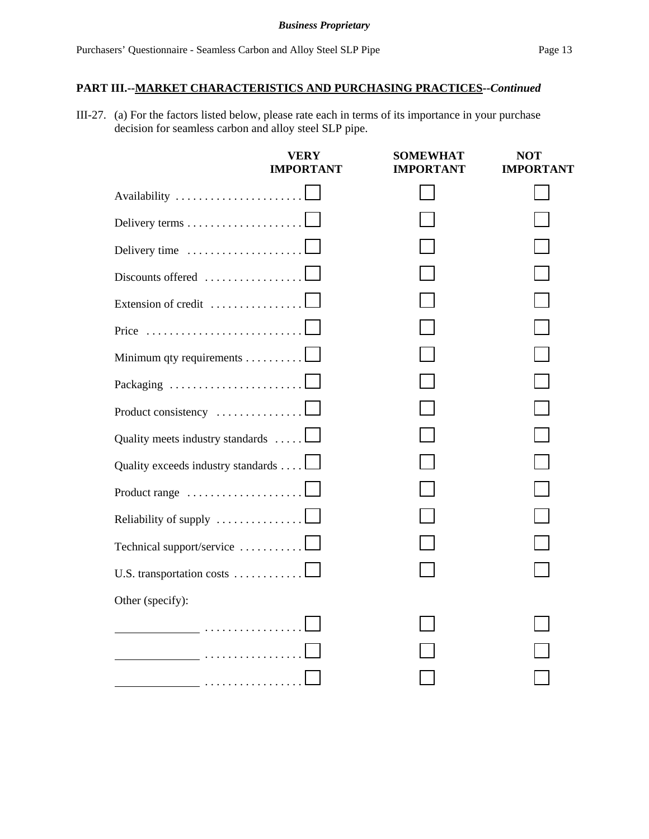III-27. (a) For the factors listed below, please rate each in terms of its importance in your purchase decision for seamless carbon and alloy steel SLP pipe.

|                                                    | <b>VERY</b><br><b>IMPORTANT</b> | <b>SOMEWHAT</b><br><b>IMPORTANT</b> | <b>NOT</b><br><b>IMPORTANT</b> |
|----------------------------------------------------|---------------------------------|-------------------------------------|--------------------------------|
| Availability L                                     |                                 |                                     |                                |
|                                                    |                                 |                                     |                                |
| Delivery time                                      |                                 |                                     |                                |
| Discounts offered $\dots\dots\dots\dots\dots\dots$ |                                 |                                     |                                |
| Extension of credit                                |                                 |                                     |                                |
|                                                    |                                 |                                     |                                |
| Minimum qty requirements                           |                                 |                                     |                                |
|                                                    |                                 |                                     |                                |
| Product consistency                                |                                 |                                     |                                |
| Quality meets industry standards                   |                                 |                                     |                                |
| Quality exceeds industry standards 1               |                                 |                                     |                                |
| Product range                                      |                                 |                                     |                                |
| Reliability of supply                              |                                 |                                     |                                |
| Technical support/service                          |                                 |                                     |                                |
| U.S. transportation costs                          |                                 |                                     |                                |
| Other (specify):                                   |                                 |                                     |                                |
|                                                    |                                 |                                     |                                |
|                                                    |                                 |                                     |                                |
|                                                    |                                 |                                     |                                |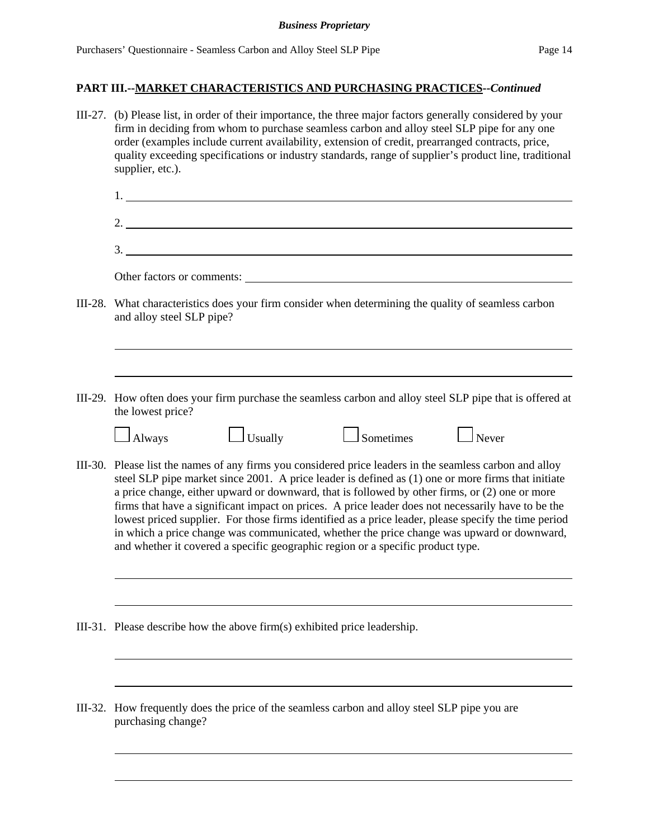|         | III-27. (b) Please list, in order of their importance, the three major factors generally considered by your<br>firm in deciding from whom to purchase seamless carbon and alloy steel SLP pipe for any one<br>order (examples include current availability, extension of credit, prearranged contracts, price,<br>quality exceeding specifications or industry standards, range of supplier's product line, traditional<br>supplier, etc.).                                                                                                                                                                                                                                                                     |  |  |  |  |  |
|---------|-----------------------------------------------------------------------------------------------------------------------------------------------------------------------------------------------------------------------------------------------------------------------------------------------------------------------------------------------------------------------------------------------------------------------------------------------------------------------------------------------------------------------------------------------------------------------------------------------------------------------------------------------------------------------------------------------------------------|--|--|--|--|--|
|         |                                                                                                                                                                                                                                                                                                                                                                                                                                                                                                                                                                                                                                                                                                                 |  |  |  |  |  |
|         |                                                                                                                                                                                                                                                                                                                                                                                                                                                                                                                                                                                                                                                                                                                 |  |  |  |  |  |
|         | 3.                                                                                                                                                                                                                                                                                                                                                                                                                                                                                                                                                                                                                                                                                                              |  |  |  |  |  |
|         | Other factors or comments:                                                                                                                                                                                                                                                                                                                                                                                                                                                                                                                                                                                                                                                                                      |  |  |  |  |  |
|         | III-28. What characteristics does your firm consider when determining the quality of seamless carbon<br>and alloy steel SLP pipe?                                                                                                                                                                                                                                                                                                                                                                                                                                                                                                                                                                               |  |  |  |  |  |
|         |                                                                                                                                                                                                                                                                                                                                                                                                                                                                                                                                                                                                                                                                                                                 |  |  |  |  |  |
|         | III-29. How often does your firm purchase the seamless carbon and alloy steel SLP pipe that is offered at<br>the lowest price?                                                                                                                                                                                                                                                                                                                                                                                                                                                                                                                                                                                  |  |  |  |  |  |
|         | $\Box$ Never<br>$\Box$ Sometimes<br>$\Box$ Usually<br>$\Box$ Always                                                                                                                                                                                                                                                                                                                                                                                                                                                                                                                                                                                                                                             |  |  |  |  |  |
|         | III-30. Please list the names of any firms you considered price leaders in the seamless carbon and alloy<br>steel SLP pipe market since 2001. A price leader is defined as (1) one or more firms that initiate<br>a price change, either upward or downward, that is followed by other firms, or (2) one or more<br>firms that have a significant impact on prices. A price leader does not necessarily have to be the<br>lowest priced supplier. For those firms identified as a price leader, please specify the time period<br>in which a price change was communicated, whether the price change was upward or downward,<br>and whether it covered a specific geographic region or a specific product type. |  |  |  |  |  |
|         |                                                                                                                                                                                                                                                                                                                                                                                                                                                                                                                                                                                                                                                                                                                 |  |  |  |  |  |
|         | III-31. Please describe how the above firm(s) exhibited price leadership.                                                                                                                                                                                                                                                                                                                                                                                                                                                                                                                                                                                                                                       |  |  |  |  |  |
|         |                                                                                                                                                                                                                                                                                                                                                                                                                                                                                                                                                                                                                                                                                                                 |  |  |  |  |  |
| III-32. | How frequently does the price of the seamless carbon and alloy steel SLP pipe you are<br>purchasing change?                                                                                                                                                                                                                                                                                                                                                                                                                                                                                                                                                                                                     |  |  |  |  |  |
|         |                                                                                                                                                                                                                                                                                                                                                                                                                                                                                                                                                                                                                                                                                                                 |  |  |  |  |  |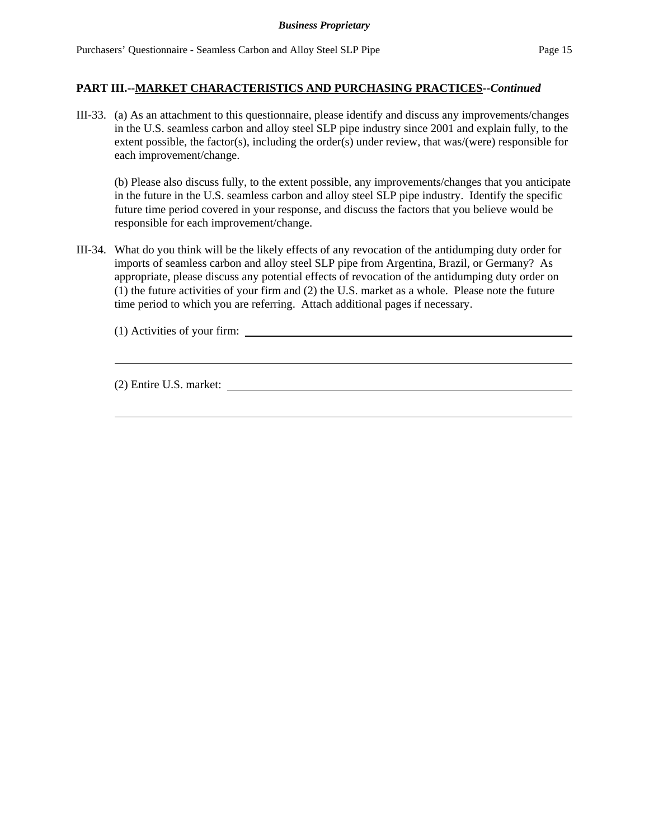III-33. (a) As an attachment to this questionnaire, please identify and discuss any improvements/changes in the U.S. seamless carbon and alloy steel SLP pipe industry since 2001 and explain fully, to the extent possible, the factor(s), including the order(s) under review, that was/(were) responsible for each improvement/change.

(b) Please also discuss fully, to the extent possible, any improvements/changes that you anticipate in the future in the U.S. seamless carbon and alloy steel SLP pipe industry. Identify the specific future time period covered in your response, and discuss the factors that you believe would be responsible for each improvement/change.

III-34. What do you think will be the likely effects of any revocation of the antidumping duty order for imports of seamless carbon and alloy steel SLP pipe from Argentina, Brazil, or Germany? As appropriate, please discuss any potential effects of revocation of the antidumping duty order on (1) the future activities of your firm and (2) the U.S. market as a whole. Please note the future time period to which you are referring. Attach additional pages if necessary.

(1) Activities of your firm:

(2) Entire U.S. market: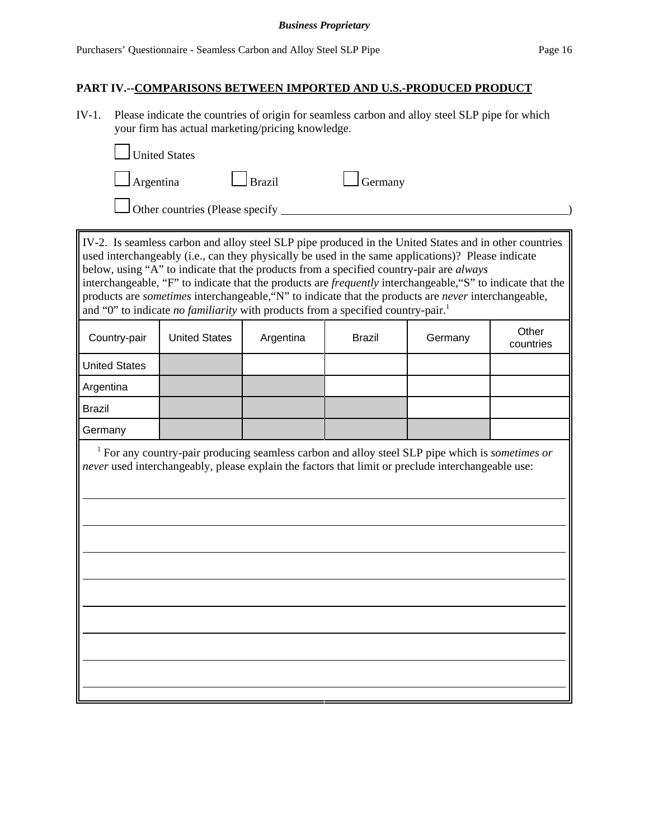#### *Business Proprietary*

### **PART IV.--COMPARISONS BETWEEN IMPORTED AND U.S.-PRODUCED PRODUCT**

IV-1. Please indicate the countries of origin for seamless carbon and alloy steel SLP pipe for which your firm has actual marketing/pricing knowledge.

| <b>Legend</b> United States     |               |                |  |
|---------------------------------|---------------|----------------|--|
| $\Box$ Argentina                | $\Box$ Brazil | $\Box$ Germany |  |
| Other countries (Please specify |               |                |  |

IV-2. Is seamless carbon and alloy steel SLP pipe produced in the United States and in other countries used interchangeably (i.e., can they physically be used in the same applications)? Please indicate below, using "A" to indicate that the products from a specified country-pair are *always* interchangeable, "F" to indicate that the products are *frequently* interchangeable,"S" to indicate that the products are *sometimes* interchangeable,"N" to indicate that the products are *never* interchangeable, and "0" to indicate *no familiarity* with products from a specified country-pair.<sup>1</sup>

| Country-pair         | <b>United States</b> | Argentina | <b>Brazil</b> | Germany | Other<br>countries |
|----------------------|----------------------|-----------|---------------|---------|--------------------|
| <b>United States</b> |                      |           |               |         |                    |
| Argentina            |                      |           |               |         |                    |
| <b>Brazil</b>        |                      |           |               |         |                    |
| Germany              |                      |           |               |         |                    |

 1 For any country-pair producing seamless carbon and alloy steel SLP pipe which is *sometimes or never* used interchangeably, please explain the factors that limit or preclude interchangeable use: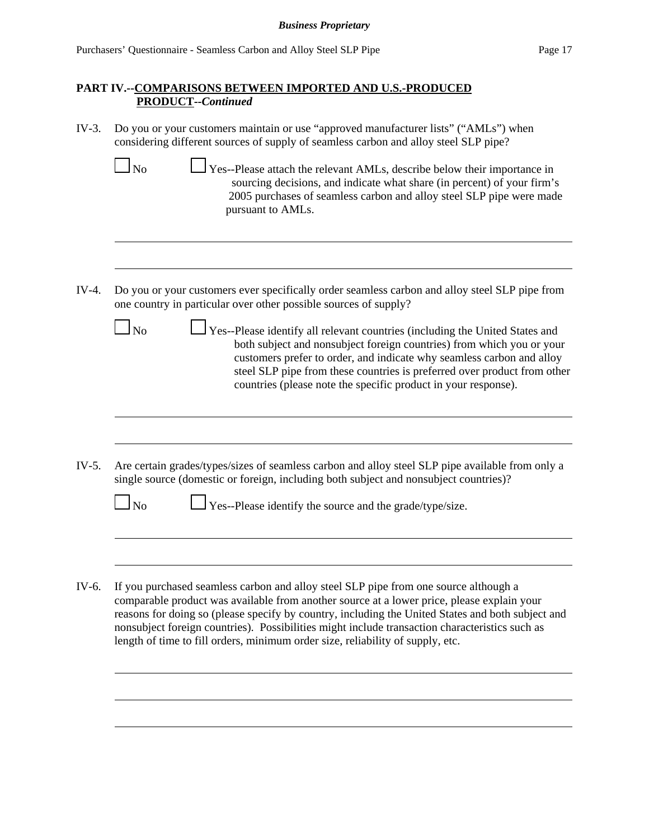- IV-3. Do you or your customers maintain or use "approved manufacturer lists" ("AMLs") when considering different sources of supply of seamless carbon and alloy steel SLP pipe?
	- $\Box$  No  $\Box$  Yes--Please attach the relevant AMLs, describe below their importance in sourcing decisions, and indicate what share (in percent) of your firm's 2005 purchases of seamless carbon and alloy steel SLP pipe were made pursuant to AMLs.
- IV-4. Do you or your customers ever specifically order seamless carbon and alloy steel SLP pipe from one country in particular over other possible sources of supply?
	- $\Box$  No  $\Box$  Yes--Please identify all relevant countries (including the United States and both subject and nonsubject foreign countries) from which you or your customers prefer to order, and indicate why seamless carbon and alloy steel SLP pipe from these countries is preferred over product from other countries (please note the specific product in your response).
- IV-5. Are certain grades/types/sizes of seamless carbon and alloy steel SLP pipe available from only a single source (domestic or foreign, including both subject and nonsubject countries)?

| $\Box_{\text{No}}$ | $\Box$ Yes--Please identify the source and the grade/type/size. |
|--------------------|-----------------------------------------------------------------|
|                    |                                                                 |

IV-6. If you purchased seamless carbon and alloy steel SLP pipe from one source although a comparable product was available from another source at a lower price, please explain your reasons for doing so (please specify by country, including the United States and both subject and nonsubject foreign countries). Possibilities might include transaction characteristics such as length of time to fill orders, minimum order size, reliability of supply, etc.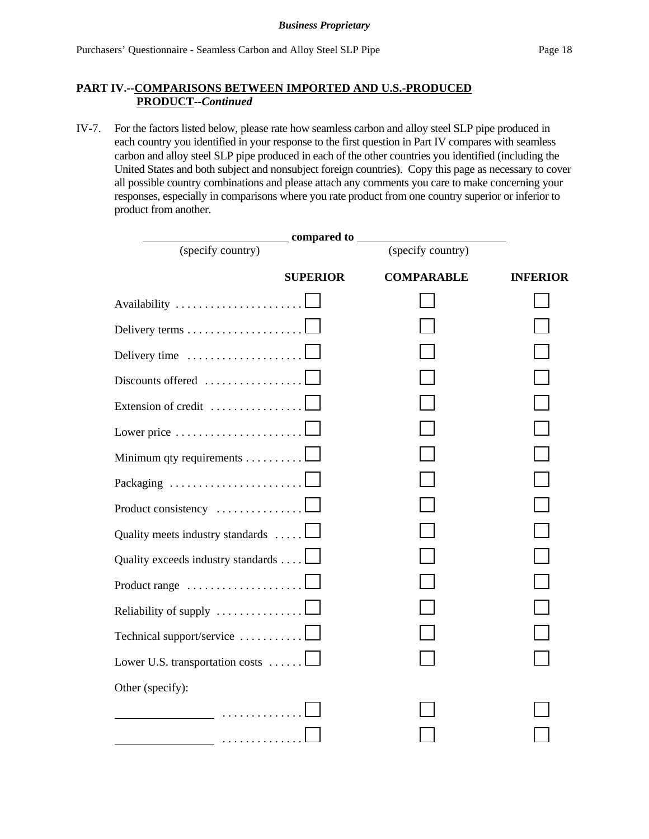IV-7. For the factors listed below, please rate how seamless carbon and alloy steel SLP pipe produced in each country you identified in your response to the first question in Part IV compares with seamless carbon and alloy steel SLP pipe produced in each of the other countries you identified (including the United States and both subject and nonsubject foreign countries). Copy this page as necessary to cover all possible country combinations and please attach any comments you care to make concerning your responses, especially in comparisons where you rate product from one country superior or inferior to product from another.

|                                                         | compared to __  |                   |                 |
|---------------------------------------------------------|-----------------|-------------------|-----------------|
| (specify country)                                       |                 | (specify country) |                 |
|                                                         | <b>SUPERIOR</b> | <b>COMPARABLE</b> | <b>INFERIOR</b> |
| Availability                                            |                 |                   |                 |
| Delivery terms                                          |                 |                   |                 |
| Delivery time                                           |                 |                   |                 |
| Discounts offered                                       |                 |                   |                 |
| Extension of credit                                     |                 |                   |                 |
| Lower price $\dots \dots \dots \dots \dots \dots \dots$ |                 |                   |                 |
| Minimum qty requirements                                |                 |                   |                 |
| Packaging                                               |                 |                   |                 |
| Product consistency                                     |                 |                   |                 |
| Quality meets industry standards                        |                 |                   |                 |
| Quality exceeds industry standards                      |                 |                   |                 |
| Product range $\ldots \ldots \ldots \ldots \ldots$      |                 |                   |                 |
| Reliability of supply                                   |                 |                   |                 |
| Technical support/service                               |                 |                   |                 |
| Lower U.S. transportation costs                         |                 |                   |                 |
| Other (specify):                                        |                 |                   |                 |
| .                                                       |                 |                   |                 |
|                                                         |                 |                   |                 |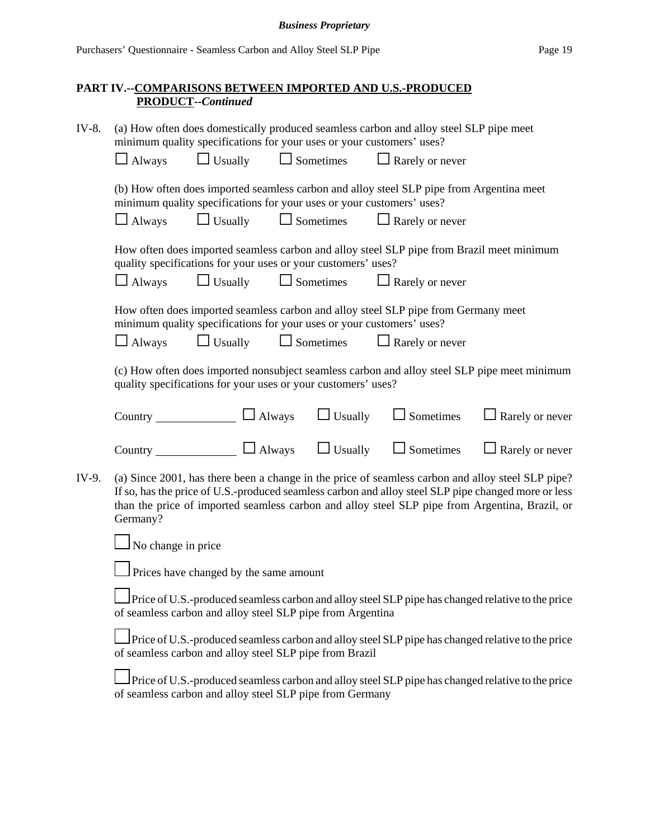| IV-8.                                                                                                                                                           | (a) How often does domestically produced seamless carbon and alloy steel SLP pipe meet<br>minimum quality specifications for your uses or your customers' uses?                                                                                                                                                        |                                                                       |                                 |  |                                                                                          |                                                                                                   |
|-----------------------------------------------------------------------------------------------------------------------------------------------------------------|------------------------------------------------------------------------------------------------------------------------------------------------------------------------------------------------------------------------------------------------------------------------------------------------------------------------|-----------------------------------------------------------------------|---------------------------------|--|------------------------------------------------------------------------------------------|---------------------------------------------------------------------------------------------------|
|                                                                                                                                                                 | $\Box$ Always                                                                                                                                                                                                                                                                                                          | $\Box$ Usually                                                        | $\Box$ Sometimes                |  | $\Box$ Rarely or never                                                                   |                                                                                                   |
|                                                                                                                                                                 |                                                                                                                                                                                                                                                                                                                        | minimum quality specifications for your uses or your customers' uses? |                                 |  | (b) How often does imported seamless carbon and alloy steel SLP pipe from Argentina meet |                                                                                                   |
|                                                                                                                                                                 | $\Box$ Always                                                                                                                                                                                                                                                                                                          | $\Box$ Usually                                                        | $\Box$ Sometimes                |  | $\Box$ Rarely or never                                                                   |                                                                                                   |
|                                                                                                                                                                 |                                                                                                                                                                                                                                                                                                                        | quality specifications for your uses or your customers' uses?         |                                 |  |                                                                                          | How often does imported seamless carbon and alloy steel SLP pipe from Brazil meet minimum         |
|                                                                                                                                                                 | $\Box$ Always                                                                                                                                                                                                                                                                                                          |                                                                       | $\Box$ Usually $\Box$ Sometimes |  | $\Box$ Rarely or never                                                                   |                                                                                                   |
|                                                                                                                                                                 |                                                                                                                                                                                                                                                                                                                        | minimum quality specifications for your uses or your customers' uses? |                                 |  | How often does imported seamless carbon and alloy steel SLP pipe from Germany meet       |                                                                                                   |
|                                                                                                                                                                 | $\Box$ Always                                                                                                                                                                                                                                                                                                          | $\Box$ Usually                                                        | $\Box$ Sometimes                |  | $\Box$ Rarely or never                                                                   |                                                                                                   |
|                                                                                                                                                                 |                                                                                                                                                                                                                                                                                                                        | quality specifications for your uses or your customers' uses?         |                                 |  |                                                                                          | (c) How often does imported nonsubject seamless carbon and alloy steel SLP pipe meet minimum      |
|                                                                                                                                                                 |                                                                                                                                                                                                                                                                                                                        | Country $\Box$ Always                                                 | $\Box$ Usually                  |  | $\Box$ Sometimes                                                                         | $\Box$ Rarely or never                                                                            |
|                                                                                                                                                                 |                                                                                                                                                                                                                                                                                                                        | Country $\Box$ Always                                                 | $\Box$ Usually                  |  | $\Box$ Sometimes                                                                         | $\Box$ Rarely or never                                                                            |
| IV-9.                                                                                                                                                           | (a) Since 2001, has there been a change in the price of seamless carbon and alloy steel SLP pipe?<br>If so, has the price of U.S.-produced seamless carbon and alloy steel SLP pipe changed more or less<br>than the price of imported seamless carbon and alloy steel SLP pipe from Argentina, Brazil, or<br>Germany? |                                                                       |                                 |  |                                                                                          |                                                                                                   |
|                                                                                                                                                                 | No change in price                                                                                                                                                                                                                                                                                                     |                                                                       |                                 |  |                                                                                          |                                                                                                   |
|                                                                                                                                                                 |                                                                                                                                                                                                                                                                                                                        | $\Box$ Prices have changed by the same amount                         |                                 |  |                                                                                          |                                                                                                   |
| Price of U.S.-produced seamless carbon and alloy steel SLP pipe has changed relative to the price<br>of seamless carbon and alloy steel SLP pipe from Argentina |                                                                                                                                                                                                                                                                                                                        |                                                                       |                                 |  |                                                                                          |                                                                                                   |
|                                                                                                                                                                 |                                                                                                                                                                                                                                                                                                                        | of seamless carbon and alloy steel SLP pipe from Brazil               |                                 |  |                                                                                          | Price of U.S.-produced seamless carbon and alloy steel SLP pipe has changed relative to the price |
|                                                                                                                                                                 |                                                                                                                                                                                                                                                                                                                        | of seamless carbon and alloy steel SLP pipe from Germany              |                                 |  |                                                                                          | Price of U.S.-produced seamless carbon and alloy steel SLP pipe has changed relative to the price |
|                                                                                                                                                                 |                                                                                                                                                                                                                                                                                                                        |                                                                       |                                 |  |                                                                                          |                                                                                                   |